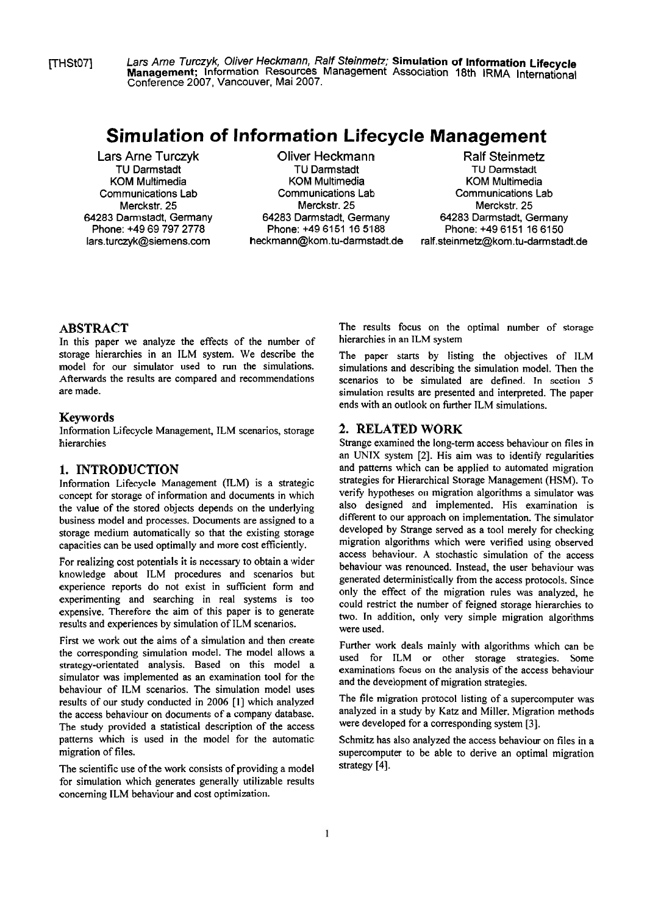FHSt071 **Lars Arne Turczyk,** Oliver **Heckmann,** Ralf **Steinmetz; Simulation of Information ~ifecycl~ Management;** lnformation Resources Management Association **18th** IRMA International Conference **2007,** Vancouver, Mai **2007.** 

# **Simulation of lnformation Lifecycle Management**

**Lars Arne Turczyk TU** Darmstadt KOM Multimedia Communications Lab Merckstr. **25 64283** Darmstadt, Germany Phone: **+49 69 797 2778**  lars.turczyk@siemens.com

**Oliver Heckmann**  TU Darmstadt KOM Multimedia Communications Lab Merckstr. **25 64283** Darmstadt, Germany Phone: **+49 6151 16 5188**  heckmann@kom.tu-darmstadt.de

**Ralf Steinmetz**  TU Darmstadt KOM Multimedia Communications Lab Merckstr. **25 64283** Darmstadt, Germany Phone: +49 6151 16 6150 ralf.steinmetz@kom.tu-darmstadt.de

#### **ABSTRACT**

In this paper we analyze the effects of the number of storage hierarchies in an ILM system. We describe the model for our simulator used to run the simulations. Afterwards the results are compared and recommendations are made.

#### **Keywords**

Information Lifecycle Management, ILM scenarios, storage hierarchies

### **1. INTRODUCTION**

Information Lifecycle Management **(KM)** is a strategic concept for storage of information and documents in which the value of the stored objects depends on the underlying business model and processes. Documents are assigned to a storage medium automatically so that the existing storage capacities can be used optimally and more cost efFiciently.

For realizing cost potentials it is necessary to obtain a wider knowledge about ILM procedures and scenarios but experience reports do not exist in sufficient form and experimenting and searching in real Systems is too expensive. Therefore the aim of this paper is to generate results and experiences by simulation of ILM scenarios.

First we work out the aims of a simulation and then create the corresponding simulation model. The model allows a strategy-orientated analysis. Based on this model a simulator was implemented as an examination tool for the behaviour of ILM scenarios. The simulation model uses results of our study conducted in 2006 [I] which analyzed the access behaviour on documents of a company database. The study provided a statistical description of the access patterns which is used in the model for the automatic migration of files.

The scientific use of the work consists of providing a model for simulation which generates generally utilizable results conceming ILM behaviour and cost optimization.

The results focus on the optimal number of storage hierarchies in an ILM system

The paper starts by listing the objectives of ILM simulations and describing the simulation model. Then the scenarios to be simulated are defined. In section **5**  simulation results are presented and interpreted. The paper ends with an outlook on further iLM simulations.

#### **2. RELATED WORK**

Strange examined the long-term access behaviour on files in an UNIX system [2]. His aim was to identify regularities and pattems which can be applied **to** automated migration strategies for Hierarchical Storage Management (HSM). To verify hypotheses on migration algorithms a simulator was also designed and implemented. His examination is different to our approach on implementation. The simulator developed by Strange served as a tool merely for checking migration algorithms which were verified using observed access behaviour. A stochastic simulation of the access behaviour was renounced. Instead, the user behaviour was generated deterministically fiom the access protocols. Since only the effect of the migration rules was analyzed, he could restrict the number of feigned storage hierarchies to two. In addition, only very simple migration algorithms were used.

Further work deals mainly with algorithms which can be used for ILM or other storage strategies. Some examinations focus on the analysis of the access behaviour and the development of migration strategies.

The file migration protocol listing of a supercomputer was analyzed in a study by **Katz** and Miller. Migration methods were developed for a corresponding system [3].

Schmitz has also analyzed the access behaviour on files in a supercomputer to be able to derive an optimal migration strategy [4].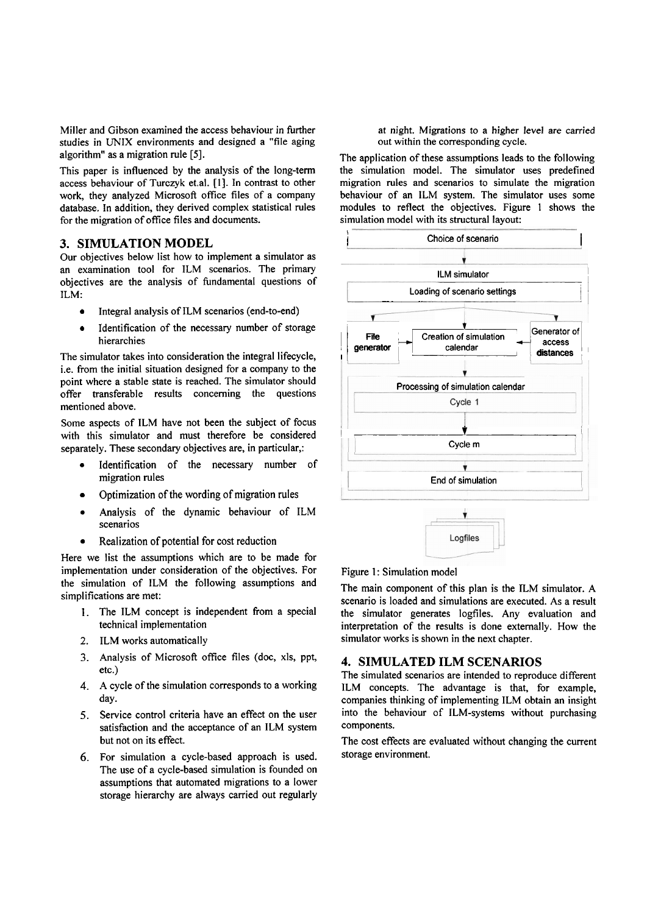Miller and Gibson examined the access behaviour in further studies in UNIX environments and designed a "file aging algorithm" as a migration rule **[SI.** 

This paper is influenced by the analysis of the long-term access behaviour of Turczyk et.al. [I]. In contrast to other work, they analyzed Microsoft office files of a company database. In addition, they derived complex statistical rules for the migration of office files and documents.

#### **3. SIMULATION MODEL**

Our objectives below list how to implement a simulator as an exarnination tool for ILM scenarios. The primary objectives are the analysis of fundamental questions of ILM:

- Integral analysis of ILM scenarios (end-to-end)
- Identification of the necessary number of storage hierarchies

The simulator takes into consideration the integral lifecycle, i.e. fiom the initial situation designed for a company to the point where a stable state is reached. The simulator should offer transferable results conceming the questions mentioned above.

Some aspects of ILM have not been the subject of focus with this simulator and must therefore be considered separately. These secondary objectives are, in particular,:

- Identification of the necessary number of migration rules
- Optimization of the wording of migration rules
- Analysis of the dynamic behaviour of ILM scenarios
- Realization of potential for cost reduction  $\bullet$

Here we list the assumptions which are to be made for implementation under consideration of the objectives. For the simulation of ILM the following assumptions and simplifications are met:

- 1. The ILM concept is independent fiom a special technical implementation
- 2. ILM works automatically
- **3.** Analysis of Microsoft office files (doc, XIS, ppt, etc.)
- **4.** A cycle of the simulation corresponds to a working day.
- 5. Service control criteria have an effect on the user satisfaction and the acceptance of an ILM system but not on its effect.
- *6.* For simulation a cycle-based approach is used. The use of a cycle-based simulation is founded on assumptions that automated migrations to a lower storage hierarchy are always carried out regularly

at night. Migrations to a higher level are carried out within the corresponding cycle.

The application of these assumptions leads to the following the simulation model. The simulator uses predefined migration rules and scenarios to simulate the migration behaviour of an ILM system. The simulator uses some modules to reflect the objectives. Figure 1 shows the simulation model with its structural layout:



#### Figure 1: Simulation model

The main component of this plan is the ILM simulator. A scenario is loaded and simulations are executed. As a result the simulator generates logfiles. Any evaluation and interpretation of the results is done extemally. How the simulator works is shown in the next chapter.

Logfiles

#### **4. SIMULATED ILM SCENARIOS**

The simulated scenarios are intended to reproduce different ILM concepts. The advantage is that, for example, companies thinking of implementing ILM obtain an insight into the behaviour of ILM-systems without purchasing components.

The cost effects are evaluated without changing the current storage environment.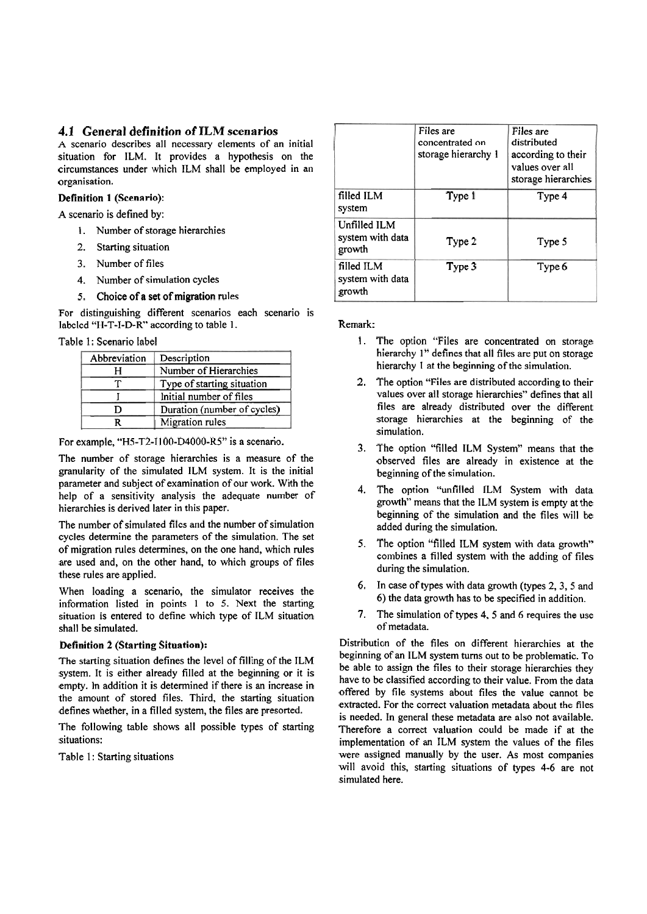# **4.1 General definition of ILM scenarios**

**A** scenario describes all necessary elements of an initial situation for ILM. It provides a hypothesis on the circumstances under which ILM shall be employed in an organisation.

#### Definition 1 (Scenario):

A scenario is defined by:

- 1. Number of storage hierarchies
- 2. Starting situation
- 3. Number of files
- **4.** Number of simulation cycles
- 5. Choice of a set of migration rules

For distinguishing different scenarios each scenario is labeled "H-T-I-D-R" according to table 1. Remark:

| Abbreviation | Description                 |  |  |
|--------------|-----------------------------|--|--|
|              | Number of Hierarchies       |  |  |
|              | Type of starting situation  |  |  |
|              | Initial number of files     |  |  |
|              | Duration (number of cycles) |  |  |
|              | Migration rules             |  |  |

For example, "H5-T2-I100-D4000-R5" is a scenario.

The number of storage hierarchies is a measure of the granularity of the simulated ILM system. It is the initial parameter and subject of examination of our work. With the help of a sensitivity analysis the adequate number of hierarchies is derived later in this paper.

The number of simulated files and the number of simulation cycles determine the parameters of the simulation. The set of migration rules determines, on the one hand, which rules are used and, on the other hand, to which groups of files these rules are applied.

When loading a scenario, the simulator receives the information listed in points 1 to 5. Next the starting situation is entered to define which type of ILM situation shall be simulated.

#### Definition 2 (Starting Situation):

The starting situation defines the level of filling of the ILM system. It is either already filled at the beginning or it is empty. In addition it is determined if there is an increase in the amount of stored files. Third, the starting situation defines whether, in a filled system, the files are presorted.

The following table shows all possible types of starting situations:

Table 1: Starting situations

|                                            | Files are<br>concentrated on<br>storage hierarchy 1 | Files are<br>distributed<br>according to their<br>values over all<br>storage hierarchies |
|--------------------------------------------|-----------------------------------------------------|------------------------------------------------------------------------------------------|
| filled ILM<br>system                       | Type 1                                              | Type 4                                                                                   |
| Unfilled ILM<br>system with data<br>growth | Type 2                                              | Type 5                                                                                   |
| filled ILM<br>system with data<br>growth   | Type 3                                              | Type 6                                                                                   |

- Table 1: Scenario label 1. The option of The option is example are concentrated on storage hierarchy 1" defines that all files are put on storage hierarchy 1 at the beginning of the simulation.
	- 2. The option "Files are distributed according to their values over all storage hierarchies" defines that all files are already distributed over the different storage hierarchies at the beginning of the simulation.
	- 3. The option "filled ILM System" means that the observed files are already in existence at the beginning of the simulation.
	- **4.** The option "unfilled ILM System with data growth" means that the ILM system is empty at the beginning of the simulation and the files will be added during the simulation.
	- **5.** The option "filled ILM system with data growth'' combines a filled system with the adding of files during the simulation.
	- **6.** In case of types with data growth (types 2,3,5 and 6) the data growth has to be specified in addition.
	- **7.** The simulation of types **4,** 5 and **6** requires the use of metadata.

Distribution of the files on different hierarchies at the beginning of an ILM system turns out to be problematic. To be able to assign the files to their storage hierarchies they have to be classified according to their value. From the data offered by file Systems about files the value cannot be extracted. For the correct valuation metadata about the files is needed. In general these metadata are also not available. Therefore a correct valuation could be made if at the implementation of an ILM system the values of the files were assigned manually by the user. As most companies will avoid this, starting situations of types **4-6** are not simulated here.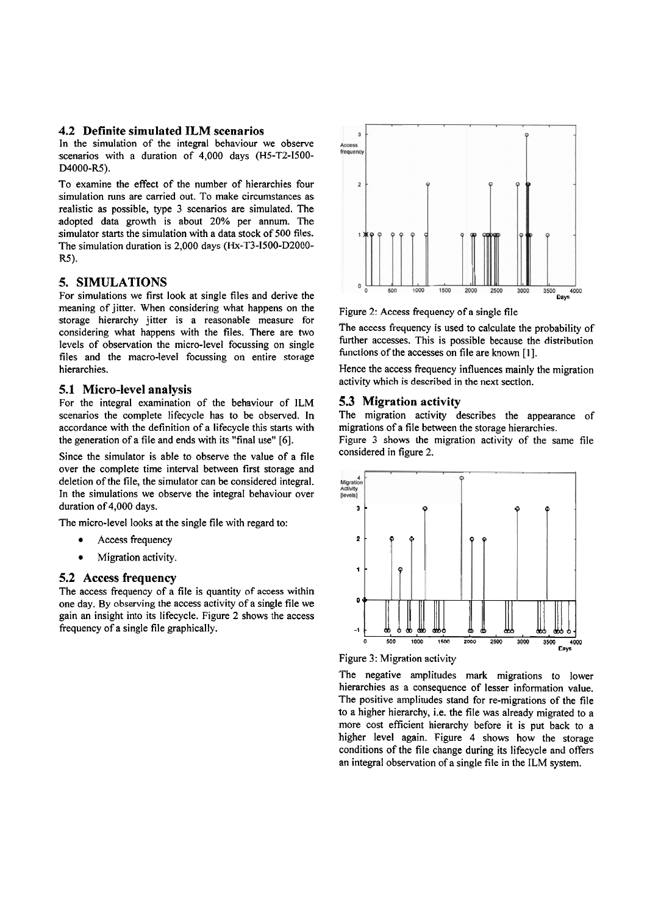#### **4.2 Definite simulated ILM scenarios**

In the simulation of the integral behaviour we observe scenarios with a duration of 4,000 days (H5-T2-1500- D4000-R5).

To examine the effect of the number of hierarchies four simulation mns are carried out. To make circumstances as realistic as possible, type 3 scenarios are simulated. The adopted data growth is about 20% per annum. The simulator starts the simulation with a data stock of 500 files. The simulation duration is 2,000 days (Hx-T3-1500-D2000- R<sub>5</sub>).

#### **5. SIMULATIONS**

For simulations we first look at single files and derive the meaning of jitter. When considering what happens on the storage hierarchy jitter is a reasonable measure for considering what happens with the files. There are two levels of observation the micro-level focussing on single files and the macro-level focussing on entire storage hierarchies.

#### **5.1 Micro-level analysis**

For the integral examination of the behaviour of ILM scenarios the complete lifecycle has to be observed. In accordance with the definition of a lifecycle this starts with the generation of a file and ends with its "final use" *[6].* 

Since the simulator is able to observe the value of a file over the complete time interval between first storage and deletion of the file, the simulator can be considered integral. In the simulations we observe the integral behaviour over duration of 4,000 days.

The micro-level looks at the single file with regard to:

- $\bullet$ Access fiequency
- $\bullet$ Migration activity.

### **5.2 Access frequency**

The access frequency of a file is quantity of access within one day. By obsewing the access activity of a single file we gain an insight into its lifecycle. Figure 2 shows the access frequency of a single file graphically.



Figure 2: Access frequency of a single file

The access frequency is used to calculate the probability of further accesses. This is possible because the distribution functions of the accesses on file are known **[I].** 

Hence the access fiequency influences mainly the migration activity which is described in the next section.

#### **5.3 Migration activity**

The migration activity describes the appearance of migrations of a file between the storage hierarchies.

Figure 3 shows the migration activity of the same file considered in figure 2.





The negative amplitudes mark migrations to lower hierarchies as a consequence of lesser information value. The positive amplitudes stand for re-migrations of the file **to** a higher hierarchy, i.e. the file was already migrated to a more cost eficient hierarchy before it is put back to a higher level again. Figure 4 shows how the storage conditions of the file change during its lifecycle and offers an integral observation of a single file in the ILM System.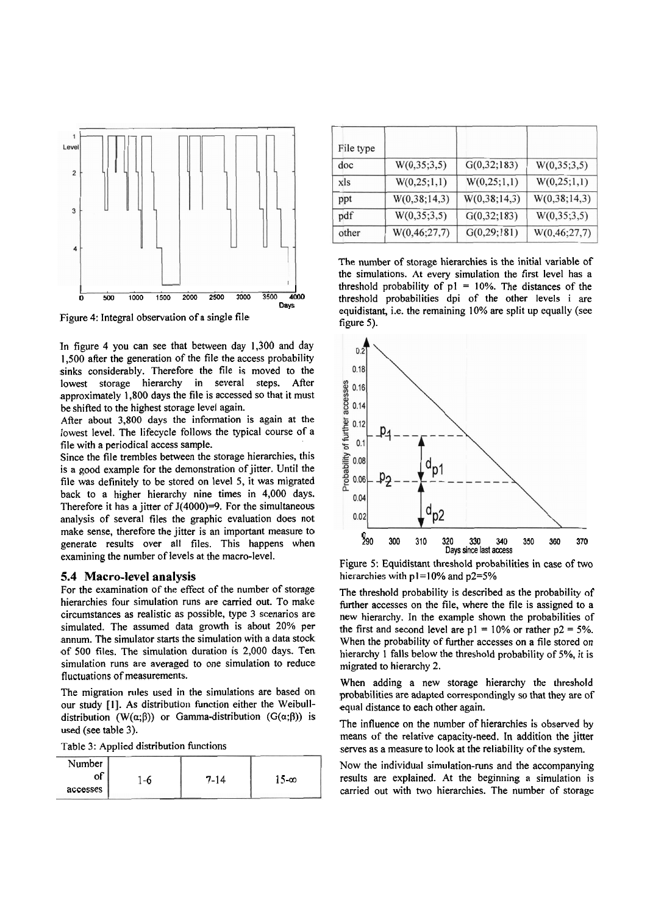

Figure 4: Integral observation of a singie fiie

In figure 4 you can see that between day 1,300 and day 1,500 after the generation of the file the access probability sinks considerably. Therefore the file is moved to the lowest storage hierarchy in several steps. After approximately 1,800 days the file is accessed so that it must be shifted to the highest storage level again.

After about 3,800 days the information is again at the lowest level. The lifecycle follows the typical course of a file with a periodical access sarnple.

Since the file trernbles between the storage hierarchies, this is a good exarnple for the dernonstration of jitter. Until the file was definitely to be stored on level 5, it was migrated back to a higher hierarchy nine times in 4,000 days. Therefore it has a jitter of  $J(4000)=9$ . For the simultaneous analysis of several files the graphic evaluation does not make sense, therefore the jitter is an important measure to generate results over all files. This happens when examining the number of levels at the macro-level.

#### **5.4 Macro-level analysis**

For the examination of the effect of the number of storage hierarchies four simulation runs are carried out. To make circurnstances as realistic as possible, type 3 scenarios are sirnulated. The assurned data growth is about 20% per annum. The simulator starts the simulation with a data stock of 500 files. The sirnulation duration is 2,000 days. Ten simulation runs are averaged to one simulation to reduce fluctuations of measurements.

The migration rules used in the simulations are based on our study [I]. As distribution function either the Weibulldistribution (W( $\alpha$ ; $\beta$ )) or Gamma-distribution (G( $\alpha$ ; $\beta$ )) is used (see table 3).

Table 3: Applied distribution functions

| Number   |    |          |              |
|----------|----|----------|--------------|
|          | -6 | $7 - 14$ | 15- $\infty$ |
| accesses |    |          |              |

| File type |                 |                |                 |
|-----------|-----------------|----------------|-----------------|
| doc       | W(0, 35; 3, 5)  | G(0, 32; 183)  | W(0, 35; 3, 5)  |
| xls       | W(0, 25; 1, 1)  | W(0, 25; 1, 1) | W(0, 25; 1, 1)  |
| ppt       | W(0,38;14,3)    | W(0,38;14,3)   | W(0,38;14,3)    |
| pdf       | W(0, 35; 3, 5)  | G(0,32;183)    | W(0,35;3,5)     |
| other     | W(0, 46; 27, 7) | G(0, 29; 181)  | W(0, 46; 27, 7) |

The nurnber of storage hierarchies is the initial variable of the simulations. At every simulation the first level has a threshold probability of  $p1 = 10%$ . The distances of the threshold probabilities dpi of the other levels i are equidistant, i.e. the rernaining 10% are split up equally (see figure 5).



Figure 5: Equidistant threshold probabilities in case of two hierarchies with p **l=10%** and p2=5%

The threshold probability is described as the probability of further accesses on the file, where the file is assigned to a new hierarchy. In the exarnple shown the probabilities of the first and second level are  $p1 = 10\%$  or rather  $p2 = 5\%$ . When the probability of further accesses on a file stored on hierarchy 1 falls below the threshold probability of 5%, it is migrated to hierarchy 2.

When adding a new storage hierarchy the threshold probabilities are adapted correspondingly so that they are of equal distance to each other again.

The influence on the nurnber of hierarchies is observed by means of the relative capacity-need. In addition the jitter serves as a measure to look at the reliability of the system.

Now the individual sirnulation-runs and the accompanying results are explained. At the beginning a simulation is carried out with two hierarchies. The nurnber of storage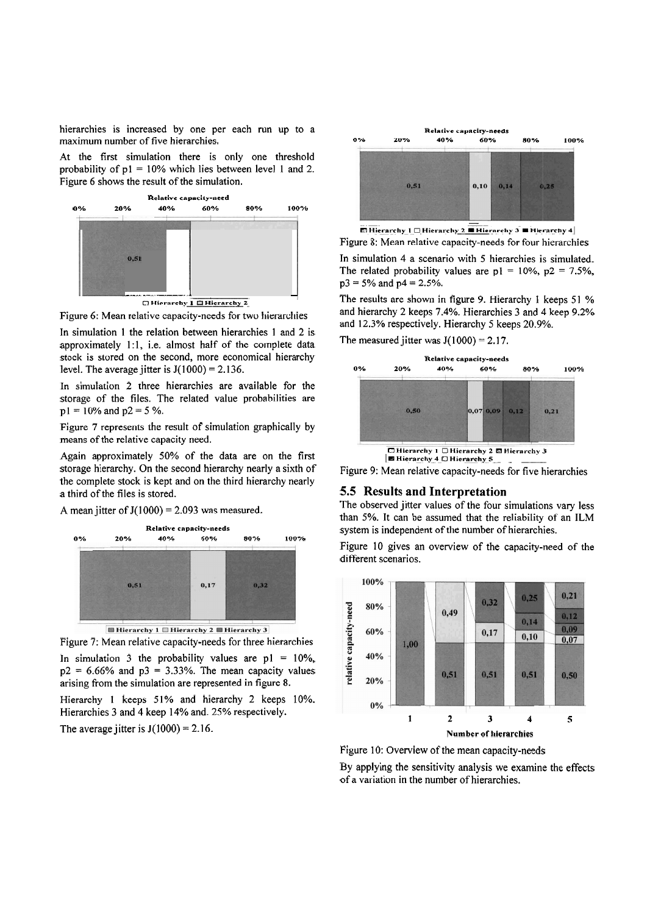hierarchies is increased by one per each run up to a maximum number of five hierarchies.

At the first simulation there is only one threshold probability of  $p1 = 10\%$  which lies between level 1 and 2. Figure 6 shows the result of the simulation.



Figure 6: Mean relative capacity-needs for two hierarchies

In simulation 1 the relation between hierarchies 1 and 2 is approximately 1:1, i.e. almost half of the complete data stock is stored on the second, more economical hierarchy level. The average jitter is  $J(1000) = 2.136$ .

In simulation 2 three hierarchies are available for the storage of the files. The related value probabilities are  $p1 = 10\%$  and  $p2 = 5\%$ .

Figure 7 represents the result of simulation graphically by means of the relative capacity need.

Again approximately 50% of the data are on the first storage hierarchy. On the second hierarchy nearly a sixth of the complete stock is kept and on the third hierarchy nearly a third of the files is stored.

A mean jitter of  $J(1000) = 2.093$  was measured.



Figure 7: Mean relative capacity-needs for three hierarchies In simulation 3 the probability values are  $p1 = 10\%$ ,  $p2 = 6.66\%$  and  $p3 = 3.33\%$ . The mean capacity values arising from the simulation are represented in figure 8. Hierarchy 1 keeps 51% and hierarchy 2 keeps 10%. Hierarchies **3** and 4 keep 14% and. 25% respectively.

The average jitter is  $J(1000) = 2.16$ .



Figure 8: Mean relative capacity-needs for four hierarchies In simulation 4 a scenario with 5 hierarchies is simulated. The related probability values are  $p1 = 10\%$ ,  $p2 = 7.5\%$ ,  $p3 = 5\%$  and  $p4 = 2.5\%$ .

The results are shown in figure 9. Hierarchy 1 keeps 51 % and hierarchy 2 keeps 7.4%. Hierarchies 3 and 4 keep 9.2% and 12.3% respectively. Hierarchy 5 keeps 20.9%.

The measured jitter was  $J(1000) = 2.17$ .



Figure 9: Mean relative capacity-needs for five hierarchies

# **5.5 Results and Interpretation**

The observed jitter values of the four simulations vary less than 5%. It can be assumed that the reliability of an ILM system is independent of the number of hierarchies.

Figure 10 gives an overview of the capacity-need of the different scenarios.



Figure 10: Overview of the mean capacity-needs

By applying the sensitivity analysis we examine the effects of a variation in the number of hierarchies.